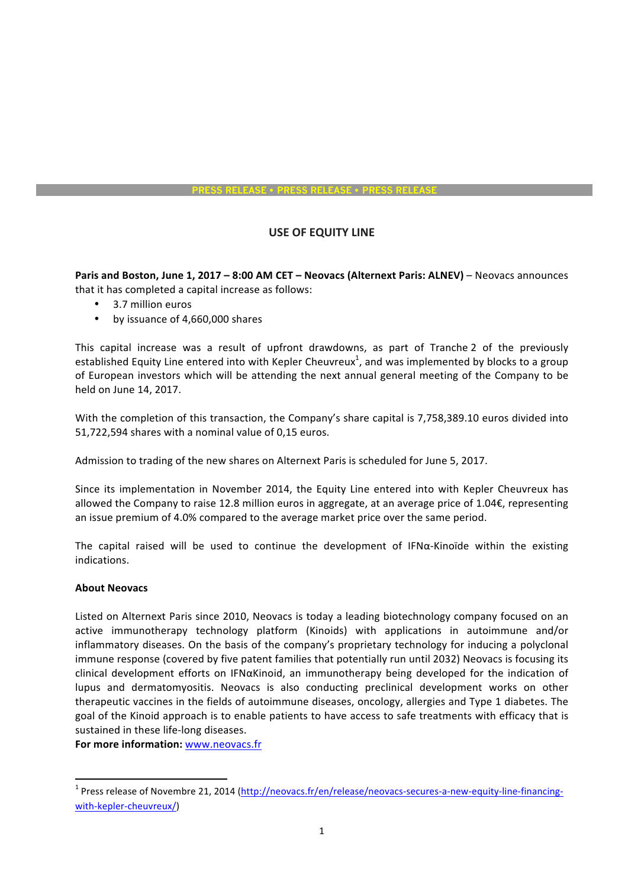## **PRESS RELEASE** • **PRESS RELEASE** • **PRESS RELEASE**

## **USE OF EQUITY LINE**

**Paris and Boston, June 1, 2017 - 8:00 AM CET - Neovacs (Alternext Paris: ALNEV) - Neovacs announces** that it has completed a capital increase as follows:

- 3.7 million euros
- by issuance of 4,660,000 shares

This capital increase was a result of upfront drawdowns, as part of Tranche 2 of the previously established Equity Line entered into with Kepler Cheuvreux<sup>1</sup>, and was implemented by blocks to a group of European investors which will be attending the next annual general meeting of the Company to be held on June 14, 2017.

With the completion of this transaction, the Company's share capital is 7,758,389.10 euros divided into 51,722,594 shares with a nominal value of 0,15 euros.

Admission to trading of the new shares on Alternext Paris is scheduled for June 5, 2017.

Since its implementation in November 2014, the Equity Line entered into with Kepler Cheuvreux has allowed the Company to raise 12.8 million euros in aggregate, at an average price of 1.04€, representing an issue premium of 4.0% compared to the average market price over the same period.

The capital raised will be used to continue the development of IFNa-Kinoïde within the existing indications. 

## **About Neovacs**

Listed on Alternext Paris since 2010, Neovacs is today a leading biotechnology company focused on an active immunotherapy technology platform (Kinoids) with applications in autoimmune and/or inflammatory diseases. On the basis of the company's proprietary technology for inducing a polyclonal immune response (covered by five patent families that potentially run until 2032) Neovacs is focusing its clinical development efforts on IFNαKinoid, an immunotherapy being developed for the indication of lupus and dermatomyositis. Neovacs is also conducting preclinical development works on other therapeutic vaccines in the fields of autoimmune diseases, oncology, allergies and Type 1 diabetes. The goal of the Kinoid approach is to enable patients to have access to safe treatments with efficacy that is sustained in these life-long diseases.

**For more information: www.neovacs.fr** 

 

<sup>&</sup>lt;sup>1</sup> Press release of Novembre 21, 2014 (http://neovacs.fr/en/release/neovacs-secures-a-new-equity-line-financingwith-kepler-cheuvreux/)